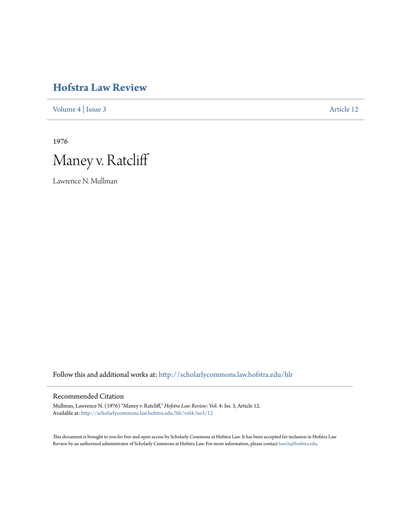# **[Hofstra Law Review](http://scholarlycommons.law.hofstra.edu/hlr?utm_source=scholarlycommons.law.hofstra.edu%2Fhlr%2Fvol4%2Fiss3%2F12&utm_medium=PDF&utm_campaign=PDFCoverPages)**

[Volume 4](http://scholarlycommons.law.hofstra.edu/hlr/vol4?utm_source=scholarlycommons.law.hofstra.edu%2Fhlr%2Fvol4%2Fiss3%2F12&utm_medium=PDF&utm_campaign=PDFCoverPages) | [Issue 3](http://scholarlycommons.law.hofstra.edu/hlr/vol4/iss3?utm_source=scholarlycommons.law.hofstra.edu%2Fhlr%2Fvol4%2Fiss3%2F12&utm_medium=PDF&utm_campaign=PDFCoverPages) [Article 12](http://scholarlycommons.law.hofstra.edu/hlr/vol4/iss3/12?utm_source=scholarlycommons.law.hofstra.edu%2Fhlr%2Fvol4%2Fiss3%2F12&utm_medium=PDF&utm_campaign=PDFCoverPages)

1976



Lawrence N. Mullman

Follow this and additional works at: [http://scholarlycommons.law.hofstra.edu/hlr](http://scholarlycommons.law.hofstra.edu/hlr?utm_source=scholarlycommons.law.hofstra.edu%2Fhlr%2Fvol4%2Fiss3%2F12&utm_medium=PDF&utm_campaign=PDFCoverPages)

### Recommended Citation

Mullman, Lawrence N. (1976) "Maney v. Ratcliff," *Hofstra Law Review*: Vol. 4: Iss. 3, Article 12. Available at: [http://scholarlycommons.law.hofstra.edu/hlr/vol4/iss3/12](http://scholarlycommons.law.hofstra.edu/hlr/vol4/iss3/12?utm_source=scholarlycommons.law.hofstra.edu%2Fhlr%2Fvol4%2Fiss3%2F12&utm_medium=PDF&utm_campaign=PDFCoverPages)

This document is brought to you for free and open access by Scholarly Commons at Hofstra Law. It has been accepted for inclusion in Hofstra Law Review by an authorized administrator of Scholarly Commons at Hofstra Law. For more information, please contact [lawcls@hofstra.edu](mailto:lawcls@hofstra.edu).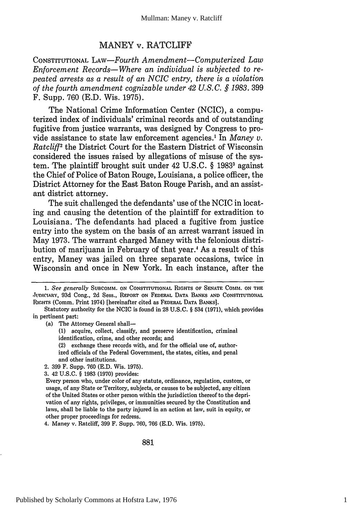## MANEY v. RATCLIFF

CONSTITUTIONAL LAW-Fourth *Amendment-Computerized Law Enforcement Records-Where an individual is subjected to repeated arrests as a result of an NCIC entry, there is a violation of the fourth amendment cognizable under 42 U.S.C. § 1983.* 399 F. Supp. 760 (E.D. Wis. 1975).

The National Crime Information Center (NCIC), a computerized index of individuals' criminal records and of outstanding fugitive from justice warrants, was designed by Congress to provide assistance to state law enforcement agencies.' In *Maney v. Ratcliff2* the District Court for the Eastern District of Wisconsin considered the issues raised by allegations of misuse of the system. The plaintiff brought suit under 42 U.S.C. § 19833 against the Chief of Police of Baton Rouge, Louisiana, a police officer, the District Attorney for the East Baton Rouge Parish, and an assistant district attorney.

The suit challenged the defendants' use of the NCIC in locating and causing the detention of the plaintiff for extradition to Louisiana. The defendants had placed a fugitive from justice entry into the system on the basis of an arrest warrant issued in May 1973. The warrant charged Maney with the felonious distribution of marijuana in February of that year.4 As a result of this entry, Maney was jailed on three separate occasions, twice in Wisconsin and once in New York. In each instance, after the

(a) The Attorney General shall-

- **(1)** acquire, collect, classify, and preserve identification, criminal identification, crime, and other records; and
- (2) exchange these records with, and for the official use of, authorized officials of the Federal Government, the states, cities, and penal and other institutions.
- 2. **399** F. Supp. 760 (E.D. Wis. 1975).
- **3.** 42 U.S.C. § 1983 (1970) provides:

4. Maney v. Ratcliff, **399** F. Supp. 760, 766 (E.D. Wis. 1975).

881

*<sup>1.</sup> See generally SUBCOMM.* **ON** CONSTITUTIONAL RIGHTS **OF SENATE** COMM. ON THE JUDICIARY, 93d Cong., 2d Sess., REPORT ON FEDERAL DATA BANKS AND CONSTITUTIONAL RIGHTS (Comm. Print 1974) [hereinafter cited as FEDERAL DATA BANKS].

Statutory authority for the NCIC is found in **28** U.S.C. § 534 (1971), which provides in pertinent part:

Every person who, under color of any statute, ordinance, regulation, custom, or usage, of any State or Territory, subjects, or causes to be subjected, any citizen of the United States or other person within the jurisdiction thereof to the deprivation of any rights, privileges, or immunities secured by the Constitution and laws, shall be liable to the party injured in an action at law, suit in equity, or other proper proceedings for redress.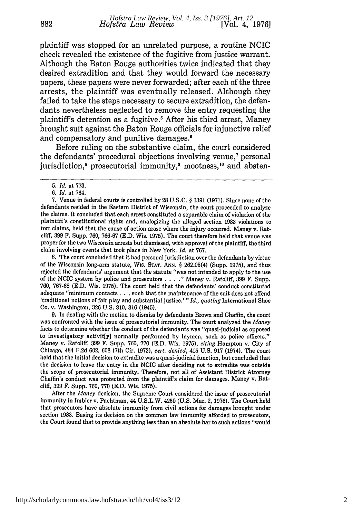plaintiff was stopped for an unrelated purpose, a routine NCIC check revealed the existence of the fugitive from justice warrant. Although the Baton Rouge authorities twice indicated that they desired extradition and that they would forward the necessary papers, these papers were never forwarded; after each of the three arrests, the plaintiff was eventually released. Although they failed to take the steps necessary to secure extradition, the defendants nevertheless neglected to remove the entry requesting the plaintiff's detention as a fugitive.<sup>5</sup> After his third arrest, Maney brought suit against the Baton Rouge officials for injunctive relief and compensatory and punitive damages.6

Before ruling on the substantive claim, the court considered the defendants' procedural objections involving venue,<sup>7</sup> personal jurisdiction,<sup>8</sup> prosecutorial immunity,<sup>9</sup> mootness,<sup>10</sup> and absten-

8. The court concluded that it had personal jurisdiction over the defendants by virtue of the Wisconsin long-arm statute, Wis. **STAT.** ANN. § 262.05(4) (Supp. 1975), and thus rejected the defendants' argument that the statute "was not intended to apply to the use of the NCIC system by police and prosecutors . . **. ."** Maney v. Ratcliff, 399 F. Supp. 760, 767-68 (E.D. Wis. 1975). The court held that the defendants' conduct constituted adequate "minimum contacts. **. .** such that the maintenance of the suit does not offend 'traditional notions of fair play and substantial justice.' *"Id., quoting* International Shoe Co. v. Washington, 326 U.S. 310, 316 (1945).

9. In dealing with the motion to dismiss by defendants Brown and Chaffin, the court was confronted with the issue of prosecutorial immunity. The court analyzed the *Maney* facts to determine whether the conduct of the defendants was "quasi-judicial as opposed to investigatory activit[y] normally performed by laymen, such as police officers." Maney v. Ratcliff, 399 F. Supp. 760, 770 (E.D. Wis. 1975), *citing* Hampton v. City of Chicago, 484 F.2d 602, 608 (7th Cir. 1973), *cert. denied,* 415 U.S. 917 (1974). The court held that the initial decision to extradite was a quasi-judicial function, but concluded that the decision to leave the entry in the NCIC after deciding not to extradite was outside the scope of prosecutorial immunity. Therefore, not all of Assistant District Attorney Chaflin's conduct was protected from the plaintiff's claim for damages. Maney v. Ratcliff, **399** F. Supp. **760, 770 (E.D.** Wis. **1975).**

After the *Maney* decision, the Supreme Court considered the issue of prosecutorial immunity in Imbler v. Pachtman, 44 **U.S.L.W.** 4250 **(U.S.** Mar. **2, 1976).** The Court held that prosecutors have absolute immunity from civil actions for damages brought under section **1983.** Basing its decision on the common law immunity afforded to prosecutors, the Court found that to provide anything less than an absolute bar to such actions "would

<sup>5.</sup> *Id.* at 773.

*<sup>6.</sup> Id.* at 764.

<sup>7.</sup> Venue in federal courts is controlled by 28 U.S.C. § 1391 (1971). Since none of the defendants resided in the Eastern District of Wisconsin, the court proceeded to analyze the claims. It concluded that each arrest constituted a separable claim of violation of the plaintiff's constitutional rights and, analogizing the alleged section 1983 violations to tort claims, held that the cause of action arose where the injury occurred. Maney v. Ratcliff, 399 F. Supp. 760, 766-67 (E.D. Wis. 1975). The court therefore held that venue was proper for the two Wisconsin arrests but dismissed, with approval of the plaintiff, the third claim involving events that took place in New York. *Id.* at 767.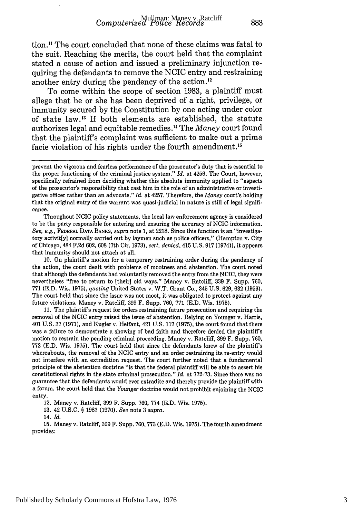tion." The court concluded that none of these claims was fatal to the suit. Reaching the merits, the court held that the complaint stated a cause of action and issued a preliminary injunction requiring the defendants to remove the NCIC entry and restraining another entry during the pendency of the action.<sup>12</sup>

To come within the scope of section 1983, a plaintiff must allege that he or she has been deprived of a right, privilege, or immunity secured by the Constitution by one acting under color of state law.<sup>13</sup> If both elements are established, the statute authorizes legal and equitable remedies. 4 The *Maney* court found that the plaintiffs complaint was sufficient to make out a prima facie violation of his rights under the fourth amendment. <sup>15</sup>

Throughout NCIC policy statements, the local law enforcement agency is considered to be the party responsible for entering and ensuring the accuracy of NCIC information. *See, e.g.,* FEDERAL **DATA BANKS,** *supra* note 1, at 2218. Since this function is an "investigatory activit[y] normally carried out by laymen such as police officers," (Hampton v. City of Chicago, 484 F.2d 602, 608 (7th Cir. 1973), *cert. denied,* 415 U.S. 917 (1974)), it appears that immunity should not attach at all.

10. On plaintiff's motion for a temporary restraining order during the pendency of the action, the court dealt with problems of mootness and abstention. The court noted that although the defendants had voluntarily removed the entry from the NCIC, they were nevertheless "free to return to [their] old ways." Maney v. Ratcliff, 339 F. Supp. 760, 771 (E.D. Wis. 1975), *quoting* United States v. W.T. Grant Co., 345 U.S. 629, **632** (1953). The court held that since the issue was not moot, it was obligated to protect against any future violations. Maney v. Ratcliff, 399 F. Supp. 760, 771 (E.D. Wis. 1975).

11. The plaintiff's request for orders restraining future prosecution and requiring the removal of the NCIC entry raised the issue of abstention. Relying on Younger v. Harris, 401 U.S. 37 (1971), and Kugler v. Helfant, 421 U.S. 117 (1975), the court found that there was a failure to demonstrate a showing of bad faith and therefore denied the plaintiffs motion to restrain the pending criminal proceeding. Maney v. Ratcliff, 399 F. Supp. 760, 772 (E.D. Wis. 1975). The court held that since the defendants knew of the plaintiff's whereabouts, the removal of the NCIC entry and an order restraining its re-entry would not interfere with an extradition request. The court further noted that a fundamental principle of the abstention doctrine "is that the federal plaintiff will be able to assert his constitutional rights in the state criminal prosecution." *Id.* at 772-73. Since there was no guarantee that the defendants would ever extradite and thereby provide the plaintiff with a forum, the court held that the *Younger* doctrine would not prohibit enjoining the NCIC entry.

12. Maney v. Ratcliff, 399 F. Supp. 760, 774 (E.D. Wis. 1975).

13. 42 U.S.C. § 1983 (1970). *See* note 3 *supra.*

14. *Id.*

15. Maney v. Ratcliff, 399 F. Supp. 760, 773 (E.D. Wis. 1975). The fourth amendment provides:

prevent the vigorous and fearless performance of the prosecutor's duty that is essential to the proper functioning of the criminal justice system." *Id.* at 4256. The Court, however, specifically refrained from deciding whether this absolute immunity applied to "aspects of the prosecutor's responsibility that cast him in the role of an administrative or investigative officer rather than an advocate." *Id.* at 4257. Therefore, the *Maney* court's holding that the original entry of the warrant was quasi-judicial in nature is still of legal significance.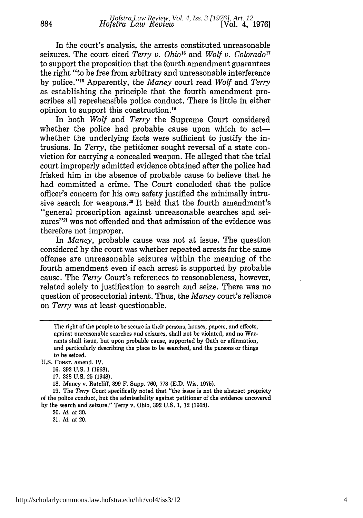In the court's analysis, the arrests constituted unreasonable seizures. The court cited *Terry v. Ohio<sup>16</sup>* and *Wolf v. Colorado<sup>17</sup>* to support the proposition that the fourth amendment guarantees the right "to be free from arbitrary and unreasonable interference by police."'" Apparently, the *Maney* court read *Wolf* and *Terry* as establishing the principle that the fourth amendment proscribes all reprehensible police conduct. There is little in either opinion to support this construction.<sup>19</sup>

In both *Wolf* and *Terry* the Supreme Court considered whether the police had probable cause upon which to actwhether the underlying facts were sufficient to justify the intrusions. In *Terry,* the petitioner sought reversal of a state conviction for carrying a concealed weapon. He alleged that the trial court improperly admitted evidence obtained after the police had frisked him in the absence of probable cause to believe that he had committed a crime. The Court concluded that the police officer's concern for his own safety justified the minimally intrusive search for weapons.<sup>20</sup> It held that the fourth amendment's "general proscription against unreasonable searches and seizures"<sup>21</sup> was not offended and that admission of the evidence was therefore not improper.

In *Maney,* probable cause was not at issue. The question considered by the court was whether repeated arrests for the same offense are unreasonable seizures within the meaning of the fourth amendment even if each arrest is supported by probable cause. The *Terry* Court's references to reasonableness, however, related solely to justification to search and seize. There was no question of prosecutorial intent. Thus, the *Maney* court's reliance on *Terry* was at least questionable.

20, *Id.* at 30.

21, *Id.* at 20.

The right of the people to be secure in their persons, houses, papers, and effects, against unreasonable searches and seizures, shall not be violated, and no Warrants shall issue, but upon probable cause, supported by Oath or affirmation, and particularly describing the place to be searched, and the persons or things to be seized.

**U.S.** CONST. amend. IV.

<sup>16. 392</sup> U.S. 1 (1968).

<sup>17.</sup> **338** U.S. 25 (1948).

<sup>18.</sup> Maney v. Ratcliff, 399 F. Supp. 760, **773** (E.D. Wis. 1975).

<sup>19.</sup> The *Terry* Court specifically noted that "the issue is not the abstract propriety of the police conduct, but the admissibility against petitioner of the evidence uncovered by the search and seizure." Terry v. Ohio, 392 U.S. 1, 12 **(1968).**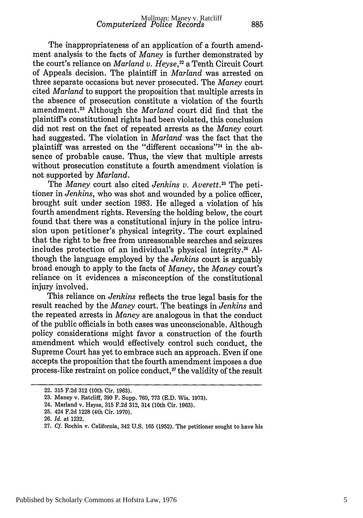The inappropriateness of an application of a fourth amendment analysis to the facts of *Maney* is further demonstrated by the court's reliance on *Marland v. Heyse,"* a Tenth Circuit Court of Appeals decision. The plaintiff in *Marland* was arrested on three separate occasions but never prosecuted. The *Maney* court cited *Marland* to support the proposition that multiple arrests in the absence of prosecution constitute a violation of the fourth amendment. 23 Although the *Marland* court did find that the plaintiff's constitutional rights had been violated, this conclusion did not rest on the fact of repeated arrests as the *Maney* court had suggested. The violation in *Marland* was the fact that the plaintiff was arrested on the "different occasions"24 in the absence of probable cause. Thus, the view that multiple arrests without prosecution constitute a fourth amendment violation is not supported by *Marland.*

The *Maney* court also cited *Jenkins v. Averett*.<sup>25</sup> The petitioner in *Jenkins,* who was shot and wounded by a police officer, brought suit under section 1983. He alleged a violation of his fourth amendment rights. Reversing the holding below, the court found that there was a constitutional injury in the police intrusion upon petitioner's physical integrity. The court explained that the right to be free from unreasonable searches and seizures includes protection of an individual's physical integrity.26 **Al**though the language employed by the *Jenkins* court is arguably broad enough to apply to the facts of *Maney,* the *Maney* court's reliance on it evidences a misconception of the constitutional injury involved.

This reliance on *Jenkins* reflects the true legal basis for the result reached by the *Maney* court. The beatings in *Jenkins* and the repeated arrests in *Maney* are analogous in that the conduct of the public officials in both cases was unconscionable. Although policy considerations might favor a construction of the fourth amendment which would effectively control such conduct, the Supreme Court has yet to embrace such an approach. Even **if** one accepts the proposition that the fourth amendment imposes a due process-like restraint on police conduct, 27 the validity of the result

<sup>22. 315</sup> F.2d 312 (10th Cir. 1963).

<sup>23.</sup> Maney v. Ratcliff, 399 F. Supp. 760, 773 (E.D. Wis. 1973).

<sup>24.</sup> Marland v. Heyse, 315 F.2d 312, 314 (10th Cir. 1963).

<sup>25. 424</sup> F.2d 1228 (4th Cir. 1970).

<sup>26.</sup> *Id.* at 1232.

<sup>27.</sup> *Cf.* Rochin v. California, 342 U.S. 165 (1952). The petitioner sought to have his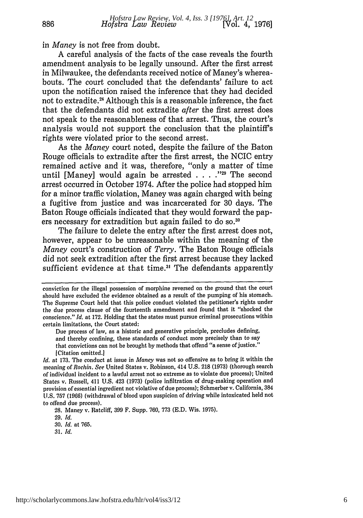in *Maney* is not free from doubt.

A careful analysis of the facts of the case reveals the fourth amendment analysis to be legally unsound. After the first arrest in Milwaukee, the defendants received notice of Maney's whereabouts. The court concluded that the defendants' failure to act upon the notification raised the inference that they had decided not to extradite.<sup>28</sup> Although this is a reasonable inference, the fact that the defendants did not extradite *after* the first arrest does not speak to the reasonableness of that arrest. Thus, the court's analysis would not support the conclusion that the plaintiff's rights were violated prior to the second arrest.

As the *Maney* court noted, despite the failure of the Baton Rouge officials to extradite after the first arrest, the NCIC entry remained active and it was, therefore, "only a matter of time until [Maney] would again be arrested **.... -12** The second arrest occurred in October 1974. After the police had stopped him for a minor traffic violation, Maney was again charged with being a fugitive from justice and was incarcerated for 30 days. The Baton Rouge officials indicated that they would forward the papers necessary for extradition but again failed to do so.<sup>30</sup>

The failure to delete the entry after the first arrest does not, however, appear to be unreasonable within the meaning of the *Maney* court's construction of *Terry.* The Baton Rouge officials did not seek extradition after the first arrest because they lacked sufficient evidence at that time.<sup>31</sup> The defendants apparently

Due process of law, as a historic and generative principle, precludes defining, and thereby confining, these standards of conduct more precisely than to say that convictions can not be brought **by** methods that offend "a sense of justice." ICitation omitted.]

*Id.* at **173.** The conduct at issue in *Maney* was not so offensive as to bring it within the meaning of *Rochin. See* United States v. Robinson, 414 **U.S. 218 (1973)** (thorough search of individual incident to a lawful arrest not so extreme as to violate due process); United States v. Russell, 411 **U.S.** 423 **(1973)** (police infiltration of drug-making operation and provision of essential ingredient not violative of due process); Schmerber v. California, 384 **U.S. 757 (1966)** (withdrawal of blood upon suspicion of driving while intoxicated held not to offend due process).

**28.** Maney v. Ratcliff, **399** F. Supp. **760, 773 (E.D.** Wis. **1975).**

**29.** *Id.*

**30.** *Id.* at **765.**

**31.** *Id.*

conviction for the illegal possession of morphine reversed on the ground that the court should have excluded the evidence obtained as a result of the pumping of his stomach. The Supreme Court held that this police conduct violated the petitioner's rights under the due process clause of the fourteenth amendment and found that it "shocked the conscience." *Id.* at 172. Holding that the states must pursue criminal prosecutions within certain limitations, the Court stated: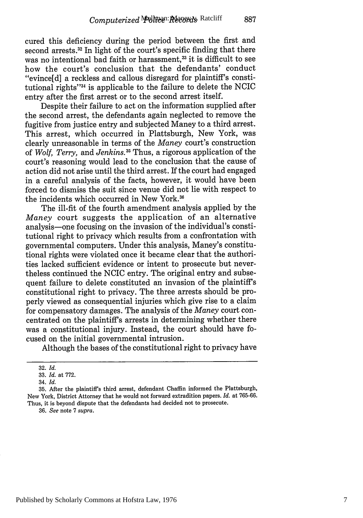cured this deficiency during the period between the first and second arrests.<sup>32</sup> In light of the court's specific finding that there was no intentional bad faith or harassment,<sup>33</sup> it is difficult to see how the court's conclusion that the defendants' conduct "evince[d] a reckless and callous disregard for plaintiff's constitutional rights" $34$  is applicable to the failure to delete the NCIC entry after the first arrest or to the second arrest itself.

Despite their failure to act on the information supplied after the second arrest, the defendants again neglected to remove the fugitive from justice entry and subjected Maney to a third arrest. This arrest, which occurred in Plattsburgh, New York, was clearly unreasonable in terms of the *Maney* court's construction of *Wolf, Terry,* and *Jenkins.35* Thus, a rigorous application of the court's reasoning would lead to the conclusion that the cause of action did not arise until the third arrest. If the court had engaged in a careful analysis of the facts, however, it would have been forced to dismiss the suit since venue did not lie with respect to the incidents which occurred in New York.<sup>36</sup>

The ill-fit of the fourth amendment analysis applied by the *Maney* court suggests the application of an alternative analysis-one focusing on the invasion of the individual's constitutional right to privacy which results from a confrontation with governmental computers. Under this analysis, Maney's constitutional rights were violated once it became clear that the authorities lacked sufficient evidence or intent to prosecute but nevertheless continued the NCIC entry. The original entry and subsequent failure to delete constituted an invasion of the plaintiff's constitutional right to privacy. The three arrests should be properly viewed as consequential injuries which give rise to a claim for compensatory damages. The analysis of the *Maney* court concentrated on the plaintiff's arrests in determining whether there was a constitutional injury. Instead, the court should have focused on the initial governmental intrusion.

Although the bases of the constitutional right to privacy have

36. *See* note 7 *supra.*

<sup>32.</sup> *Id.*

<sup>33.</sup> *Id.* at 772. 34. *Id.*

**<sup>35.</sup>** After the plaintiff's third arrest, defendant Chaffin informed the Plattsburgh, New York, District Attorney that he would not forward extradition papers. *Id.* at 765-66. Thus, it is beyond dispute that the defendants had decided not to prosecute.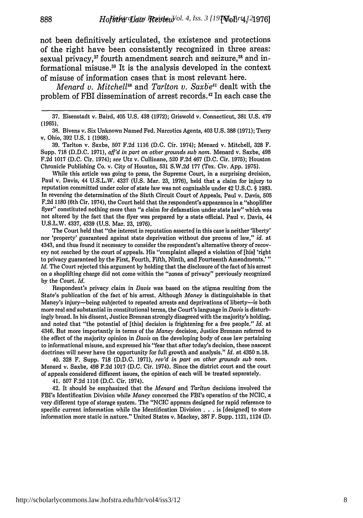not been definitively articulated, the existence and protections of the right have been consistently recognized in three areas: sexual privacy,<sup>37</sup> fourth amendment search and seizure,<sup>38</sup> and informational misuse.<sup>39</sup> It is the analysis developed in the context of misuse of information cases that is most relevant here.

888

*Menard v. Mitchell<sup>10</sup>* and *Tarlton v. Saxbe<sup>41</sup>* dealt with the problem of FBI dissemination of arrest records.<sup>42</sup> In each case the

**38.** Bivens v. Six Unknown Named Fed. Narcotics Agents, 403 U.S. 388 (1971); Terry **v.** Ohio, 392 U.S. **1** (1968).

39. Tarlton v. Saxbe, 507 F.2d 1116 (D.C. Cir. 1974); Menard v. Mitchell, 328 F. Supp. 718 (D.D.C. 1971), *aff'd in part on other grounds sub nom.* Menard v. Saxbe, 498 F.2d 1017 (D.C. Cir. 1974); *see* Utz v. Cullinane, 520 F.2d 467 (D.C. Cir. 1975); Houston Chronicle Publishing Co. v. City of Houston, 531 S.W.2d 177 (Tex. Civ. App. 1975).

While this article was going to press, the Supreme Court, in a surprising decision, Paul v. Davis, 44 U.S.L.W. 4337 (U.S. Mar. 23, 1976), held that a claim for injury to reputation committed under color of state law was not cognizable under 42 U.S.C. § 1983. In reversing the determination of the Sixth Circuit Court of Appeals, Paul v. Davis, 505 F.2d 1180 (6th Cir. 1974), the Court held that the respondent's appearance in a "shoplifter flyer" constituted nothing more than "a claim for defamation under state law" which was not altered by the fact that the flyer was prepared by a state official. Paul v. Davis, 44 U.S.L.W. 4337, 4339 (U.S. Mar. 23, 1976).

The Court held that "the interest in reputation asserted in this case is neither 'liberty' nor 'property' guaranteed against state deprivation without due process of law," *id.* at 4343, and thus found it necessary to consider the respondent's alternative theory of recovery not reached by the court of appeals. His "complaint alleged a violation of [his] 'right to privacy guaranteed by the First, Fourth, Fifth, Ninth, and Fourteenth Amendments.'" *Id.* The Court rejected this argument by holding that the disclosure of the fact of his arrest on a shoplifting charge did not come within the "zones of privacy" previously recognized by the Court. *Id.*

Respondent's privacy claim in *Davis* was based on the stigma resulting from the State's publication of the fact of his arrest. Although *Money* is distinguishable in that Maney's injury-being subjected to repeated arrests and deprivations of liberty-is both more real and substantial in constitutional terms, the Court's language in *Davis* is disturbingly broad. In his dissent, Justice Brennan strongly disagreed with the majority's holding, and noted that "the potential of [this] decision is frightening for a free people." *Id.* at 4346. But more importantly in terms of the *Money* decision, Justice Brennan referred to the effect of the majority opinion in *Davis* on the developing body of case law pertaining to informational misuse, and expressed his "fear that after today's decision, these nascent doctrines will never have the opportunity for full growth and analysis." *Id.* at 4350 n.18.

40. 328 F. Supp. 718 (D.D.C. 1971), *rev'd in part on other grounds sub nom.* Menard v. Saxbe, 498 F.2d 1017 (D.C. Cir. 1974). Since the district court and the court of appeals considered different issues, the opinion of each will be treated separately.

41. 507 F.2d 1116 (D.C. Cir. 1974).

42. It should be emphasized that the *Menard* and *Tarlton* decisions involved the FBI's Identification Division while *Money* concerned the FBI's operation of the NCIC, a very different type of storage system. The "NCIC appears designed for rapid reference to specific current information while the Identification Division . . . is [designed] to store information more static in nature." United States v. Mackey, 387 F. Supp. 1121, 1124 (D.

<sup>37.</sup> Eisenstadt v. Baird, 405 U.S. 438 (1972); Griswold v. Connecticut, 381 U.S. 479 (1965).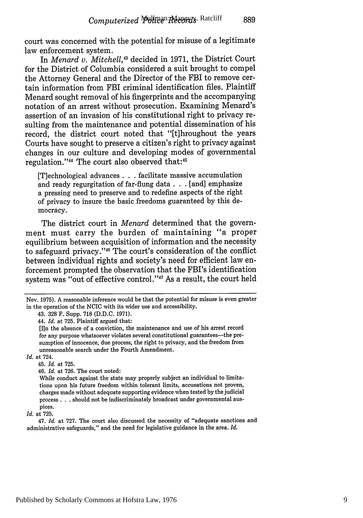court was concerned with the potential for misuse of a legitimate law enforcement system.

In *Menard v. Mitchell*,<sup>43</sup> decided in 1971, the District Court for the District of Columbia considered a suit brought to compel the Attorney General and the Director of the FBI to remove certain information from FBI criminal identification files. Plaintiff Menard sought removal of his fingerprints and the accompanying notation of an arrest without prosecution. Examining Menard's assertion of an invasion of his constitutional right to privacy resulting from the maintenance and potential dissemination of his record, the district court noted that "[t]hroughout the years Courts have sought to preserve a citizen's right to privacy against changes in our culture and developing modes of governmental regulation."<sup>44</sup> The court also observed that:<sup>45</sup>

[T]echnological advances **...** facilitate massive accumulation and ready regurgitation of far-flung data ... [and] emphasize a pressing need to preserve and to redefine aspects of the right of privacy to insure the basic freedoms guaranteed by this democracy.

The district court in *Menard* determined that the government must carry the burden of maintaining "a proper equilibrium between acquisition of information and the necessity to safeguard privacy."46 The court's consideration of the conflict between individual rights and society's need for efficient law enforcement prompted the observation that the FBI's identification system was "out of effective control."<sup>47</sup> As a result, the court held

#### *Id.* at 724.

45. *Id.* at 725.

46. *Id.* at 726. The court noted:

While conduct against the state may properly subject an individual to limitations upon his future freedom within tolerant limits, accusations not proven, charges made without adequate supporting evidence when tested by the judicial process **. . .** should not be indiscriminately broadcast under governmental auspices.

#### *Id.* at 725.

47. *Id.* at 727. The court also discussed the necessity of "adequate sanctions and administrative safeguards," and the need for legislative guidance in the area. *Id.*

Nev. 1975). A reasonable inference would be that the potential for misuse is even greater in the operation of the NCIC with its wider use and accessibility.

<sup>43. 328</sup> F. Supp. 718 (D.D.C. 1971).

<sup>44.</sup> *Id.* at 725. Plaintiff argued that:

<sup>[</sup>Iln the absence of a conviction, the maintenance and use of his arrest record for any purpose whatsoever violates several constitutional guarantees-the presumption of innocence, due process, the right to privacy, and the freedom from unreasonable search under the Fourth Amendment.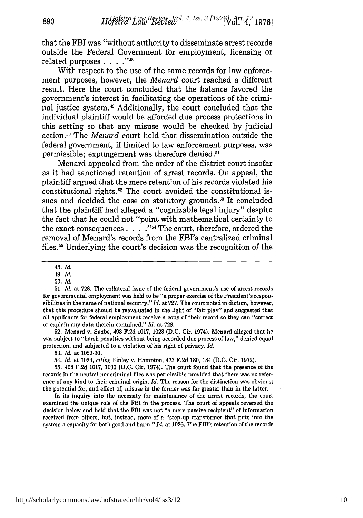that the FBI was "without authority to disseminate arrest records outside the Federal Government for employment, licensing or **''48** related purposes **....**

With respect to the use of the same records for law enforcement purposes, however, the *Menard* court reached a different result. Here the court concluded that the balance favored the government's interest in facilitating the operations of the criminal justice system.<sup>49</sup> Additionally, the court concluded that the individual plaintiff would be afforded due process protections in this setting so that any misuse would be checked by judicial action.<sup>50</sup> The *Menard* court held that dissemination outside the federal government, if limited to law enforcement purposes, was permissible; expungement was therefore denied.<sup>51</sup>

Menard appealed from the order of the district court insofar as it had sanctioned retention of arrest records. On appeal, the plaintiff argued that the mere retention of his records violated his constitutional rights.<sup>52</sup> The court avoided the constitutional issues and decided the case on statutory grounds.<sup>53</sup> It concluded that the plaintiff had alleged a "cognizable legal injury" despite the fact that he could not "point with mathematical certainty to the exact consequences . . . .<sup>754</sup> The court, therefore, ordered the removal of Menard's records from the FBI's centralized criminal files.<sup>55</sup> Underlying the court's decision was the recognition of the

890

52. Menard v. Saxbe, 498 F.2d 1017, 1023 (D.C. Cir. 1974). Menard alleged that he was subject to "harsh penalties without being accorded due process of law," denied equal protection, and subjected to a violation of his right of privacy. *Id.*

53. *Id.* at 1029-30.

54. *Id.* at 1023, *citing* Finley v. Hampton, 473 F.2d 180, 184 (D.C. Cir. 1972).

In its inquiry into the necessity for maintenance of the arrest records, the court examined the unique role of the FBI in the process. The court of appeals reversed the decision below and held that the FBI was not "a mere passive recipient" of information received from others, but, instead, more of a "step-up transformer that puts into the system a capacity for both good and harm." *Id.* at 1026. The FBI's retention of the records

<sup>48.</sup> *Id.*

*<sup>49.</sup> Id.*

<sup>5</sup>o. *Id.*

<sup>51.</sup> *Id.* at 728. The collateral issue of the federal government's use of arrest records for governmental employment was held to be "a proper exercise of the President's responsibilities in the name of national security." *Id.* at 727. The court noted in dictum, however, that this procedure should be reevaluated in the light of "fair play" and suggested that all applicants for federal employment receive a copy of their record so they can "correct or explain any data therein contained." *Id.* at 728.

<sup>55. 498</sup> F.2d 1017, 1030 (D.C. Cir. 1974). The court found that the presence of the records in the neutral noncriminal files was permissible provided that there was no reference of any kind to their criminal origin. *Id.* The reason for the distinction was obvious; the potential for, and effect of, misuse in the former was far greater than in the latter.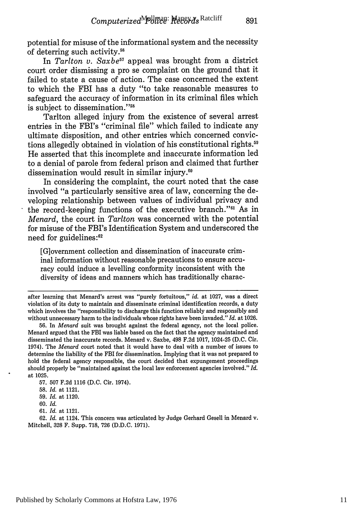potential for misuse of the informational system and the necessity of deterring such activity.<sup>56</sup>

In *Tarlton v. Saxbe57* appeal was brought from a district court order dismissing a pro se complaint on the ground that it failed to state a cause of action. The case concerned the extent to which the FBI has a duty "to take reasonable measures to safeguard the accuracy of information in its criminal files which is subject to dissemination."<sup>58</sup>

Tarlton alleged injury from the existence of several arrest entries in the FBI's "criminal file" which failed to indicate any ultimate disposition, and other entries which concerned convictions allegedly obtained in violation of his constitutional rights.59 He asserted that this incomplete and inaccurate information led to a denial of parole from federal prison and claimed that further dissemination would result in similar injury. $60$ 

In considering the complaint, the court noted that the case involved "a particularly sensitive area of law, concerning the developing relationship between values of individual privacy and the record-keeping functions of the executive branch."<sup>61</sup> As in *Menard,* the court in *Tarlton* was concerned with the potential for misuse of the FBI's Identification System and underscored the need for guidelines:62

[G]overnment collection and dissemination of inaccurate criminal information without reasonable precautions to ensure accuracy could induce a levelling conformity inconsistent with the diversity of ideas and manners which has traditionally charac-

after learning that Menard's arrest was "purely fortuitous," *id.* at 1027, was a direct violation of its duty to maintain and disseminate criminal identification records, a duty which involves the "responsibility to discharge this function reliably and responsibly and without unnecessary harm to the individuals whose rights have been invaded." *Id.* at 1026.

56. In *Menard* suit was brought against the federal agency, not the local police. Menard argued that the FBI was liable based on the fact that the agency maintained and disseminated the inaccurate records. Menard v. Saxbe, 498 F.2d 1017, 1024-25 (D.C. Cir. 1974). The *Menard* court noted that it would have to deal with a number of issues to determine the liability of the FBI for dissemination. Implying that it was not prepared to hold the federal agency responsible, the court decided that expungement proceedings should properly be "maintained against the local law enforcement agencies involved." *Id.* at 1025.

62. *Id.* at 1124. This concern was articulated by Judge Gerhard Gesell in Menard v. Mitchell, 328 F. Supp. 718, 726 (D.D.C. 1971).

**<sup>57.</sup>** 507 F.2d 1116 (D.C. Cir. 1974).

**<sup>58.</sup>** *Id.* at 1121.

<sup>59.</sup> *Id.* at 1120.

<sup>60.</sup> *Id.*

<sup>61.</sup> *Id.* at 1121.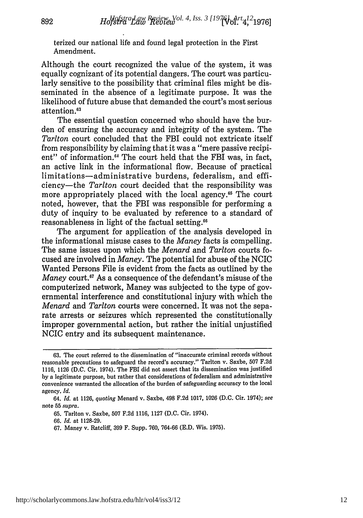terized our national life and found legal protection in the First Amendment.

Although the court recognized the value of the system, it was equally cognizant of its potential dangers. The court was particularly sensitive to the possibility that criminal files might be disseminated in the absence of a legitimate purpose. It was the likelihood of future abuse that demanded the court's most serious attention.<sup>63</sup>

The essential question concerned who should have the burden of ensuring the accuracy and integrity of the system. The *Tarlton* court concluded that the FBI could not extricate itself from responsibility by claiming that it was a "mere passive recipient" of information.<sup>64</sup> The court held that the FBI was, in fact, an active link in the informational flow. Because of practical limitations-administrative burdens, federalism, and efficiency-the *Tarlton* court decided that the responsibility was more appropriately placed with the local agency.<sup>65</sup> The court noted, however, that the FBI was responsible for performing a duty of inquiry to be evaluated by reference to a standard of reasonableness in light of the factual setting.<sup>66</sup>

The argument for application of the analysis developed in the informational misuse cases to the *Maney* facts is compelling. The same issues upon which the *Menard* and *Tarlton* courts focused are involved in *Maney.* The potential for abuse of the NCIC Wanted Persons File is evident from the facts as outlined by the *Maney* court.<sup>67</sup> As a consequence of the defendant's misuse of the computerized network, Maney was subjected to the type of governmental interference and constitutional injury with which the *Menard* and *Tarlton* courts were concerned. It was not the separate arrests or seizures which represented the constitutionally improper governmental action, but rather the initial unjustified NCIC entry and its subsequent maintenance.

892

**<sup>63.</sup>** The court referred to the dissemination of "inaccurate criminal records without reasonable precautions to safeguard the record's accuracy." Tarlton v. Saxbe, 507 F.2d 1116, 1126 (D.C. Cir. 1974). The FBI did not assert that its dissemination was justified by a legitimate purpose, but rather that considerations of federalism and administrative convenience warranted the allocation of the burden of safeguarding accuracy to the local agency. *Id.*

<sup>64.</sup> *Id.* at 1126, *quoting* Menard v. Saxbe, 498 F.2d 1017, 1026 (D.C. Cir. 1974); *see* note **55** *supra.*

<sup>65.</sup> Tarlton v. Saxbe, 507 F.2d 1116, 1127 (D.C. Cir. 1974).

<sup>66.</sup> *Id.* at 1128-29.

<sup>67.</sup> Maney v. Ratcliff, 399 F. Supp. 760, 764-66 (E.D. Wis. 1975).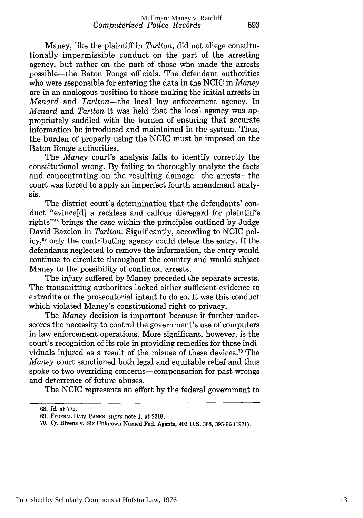Maney, like the plaintiff in *Tarlton,* did not allege constitutionally impermissible conduct on the part of the arresting agency, but rather on the part of those who made the arrests possible-the Baton Rouge officials. The defendant authorities who were responsible for entering the data in the NCIC in *Maney* are in an analogous position to those making the initial arrests in *Menard* and *Tarlton-the* local law enforcement agency. In *Menard* and *Tarlton* it was held that the local agency was appropriately saddled with the burden of ensuring that accurate information be introduced and maintained in the system. Thus, the burden of properly using the NCIC must be imposed on the Baton Rouge authorities.

The *Maney* court's analysis fails to identify correctly the constitutional wrong. By failing to thoroughly analyze the facts and concentrating on the resulting damage—the arrests—the court was forced to apply an imperfect fourth amendment analysis.

The district court's determination that the defendants' conduct "evince[d] a reckless and callous disregard for plaintiff's rights""8 brings the case within the principles outlined by Judge David Bazelon in *Tarlton.* Significantly, according to NCIC policy,69 only the contributing agency could delete the entry. If the defendants neglected to remove the information, the entry would continue to circulate throughout the country and would subject Maney to the possibility of continual arrests.

The injury suffered by Maney preceded the separate arrests. The transmitting authorities lacked either sufficient evidence to extradite or the prosecutorial intent to do so. It was this conduct which violated Maney's constitutional right to privacy.

The *Maney* decision is important because it further underscores the necessity to control the government's use of computers in law enforcement operations. More significant, however, is the court's recognition of its role in providing remedies for those individuals injured as a result of the misuse of these devices. 70 The *Maney* court sanctioned both legal and equitable relief and thus spoke to two overriding concerns-compensation for past wrongs and deterrence of future abuses.

The NCIC represents an effort by the federal government to

<sup>68.</sup> *Id.* at 772.

<sup>69.</sup> FEDERAL **DATA BANKS,** *supra* note **1,** at 2218.

<sup>70.</sup> *Cf.* Bivens v. Six Unknown Named Fed. Agents, 403 U.S. 388, 395-96 (1971).